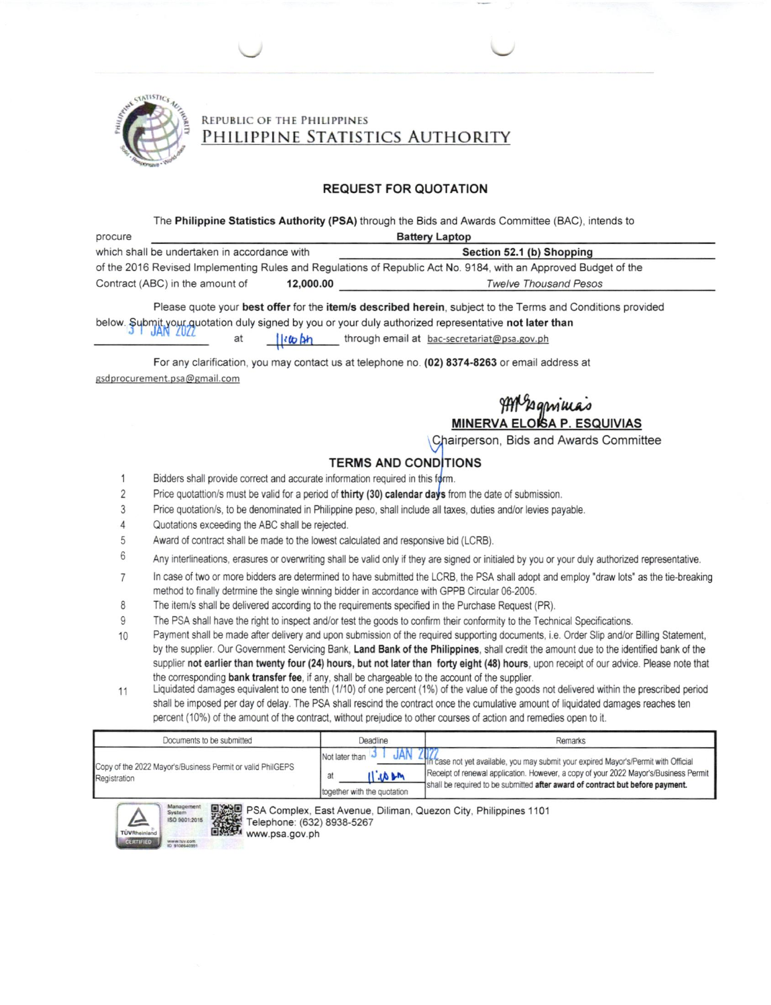

## REPUBLIC OF THE PHILIPPINES PHILIPPINE STATISTICS AUTHORITY

#### **REQUEST FOR QUOTATION**

The Philippine Statistics Authority (PSA) through the Bids and Awards Committee (BAC), intends to

| <b>Battery Laptop</b><br>procure                                                                                |           |                           |  |  |  |  |
|-----------------------------------------------------------------------------------------------------------------|-----------|---------------------------|--|--|--|--|
| which shall be undertaken in accordance with                                                                    |           | Section 52.1 (b) Shopping |  |  |  |  |
| of the 2016 Revised Implementing Rules and Regulations of Republic Act No. 9184, with an Approved Budget of the |           |                           |  |  |  |  |
| Contract (ABC) in the amount of                                                                                 | 12,000.00 | Twelve Thousand Pesos     |  |  |  |  |

Please quote your best offer for the item/s described herein, subject to the Terms and Conditions provided below. Submit your quotation duly signed by you or your duly authorized representative not later than litto bh through email at bac-secretariat@psa.gov.ph at

For any clarification, you may contact us at telephone no. (02) 8374-8263 or email address at gsdprocurement.psa@gmail.com

# MP2 gmillas

Chairperson, Bids and Awards Committee

# **TERMS AND CONDITIONS**

- 1 Bidders shall provide correct and accurate information required in this form.
- $\overline{2}$ Price quotattion/s must be valid for a period of thirty (30) calendar days from the date of submission.
- $\overline{3}$ Price quotation/s, to be denominated in Philippine peso, shall include all taxes, duties and/or levies payable.
- $\Delta$ Quotations exceeding the ABC shall be rejected.
- 5 Award of contract shall be made to the lowest calculated and responsive bid (LCRB).
- 6 Any interlineations, erasures or overwriting shall be valid only if they are signed or initialed by you or your duly authorized representative.
- In case of two or more bidders are determined to have submitted the LCRB, the PSA shall adopt and employ "draw lots" as the tie-breaking  $\overline{7}$ method to finally detrmine the single winning bidder in accordance with GPPB Circular 06-2005.
- 8 The item/s shall be delivered according to the requirements specified in the Purchase Request (PR).
- 9 The PSA shall have the right to inspect and/or test the goods to confirm their conformity to the Technical Specifications.
- Payment shall be made after delivery and upon submission of the required supporting documents, i.e. Order Slip and/or Billing Statement,  $10$ by the supplier. Our Government Servicing Bank, Land Bank of the Philippines, shall credit the amount due to the identified bank of the supplier not earlier than twenty four (24) hours, but not later than forty eight (48) hours, upon receipt of our advice. Please note that the corresponding bank transfer fee, if any, shall be chargeable to the account of the supplier.
- Liquidated damages equivalent to one tenth (1/10) of one percent (1%) of the value of the goods not delivered within the prescribed period 11 shall be imposed per day of delay. The PSA shall rescind the contract once the cumulative amount of liquidated damages reaches ten percent (10%) of the amount of the contract, without prejudice to other courses of action and remedies open to it.

| Documents to be submitted                                                  | Deadline                                                    | Remarks                                                                                                                                                                                                                                                              |  |  |  |
|----------------------------------------------------------------------------|-------------------------------------------------------------|----------------------------------------------------------------------------------------------------------------------------------------------------------------------------------------------------------------------------------------------------------------------|--|--|--|
| Copy of the 2022 Mayor's/Business Permit or valid PhilGEPS<br>Registration | Not later than<br>Md/d<br>at<br>together with the quotation | 18 2022 16 Case not yet available, you may submit your expired Mayor's/Permit with Official<br>Receipt of renewal application. However, a copy of your 2022 Mayor's/Business Permit<br>shall be required to be submitted after award of contract but before payment. |  |  |  |



PSA Complex, East Avenue, Diliman, Quezon City, Philippines 1101 Telephone: (632) 8938-5267

www.psa.gov.ph